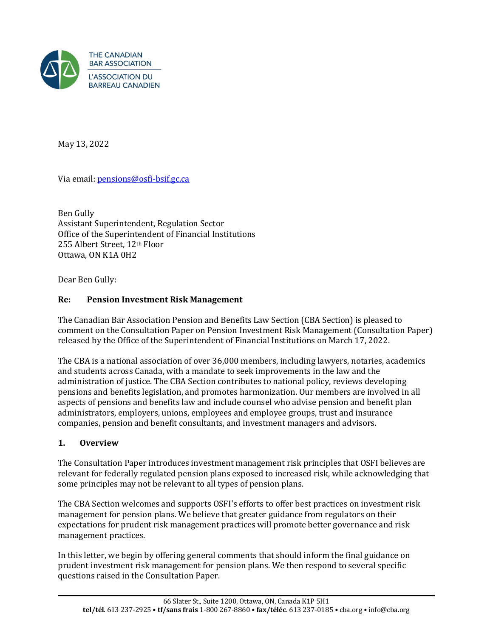

May 13, 2022

Via email: [pensions@osfi-bsif.gc.ca](mailto:pensions@osfi-bsif.gc.ca)

Ben Gully Assistant Superintendent, Regulation Sector Office of the Superintendent of Financial Institutions 255 Albert Street, 12th Floor Ottawa, ON K1A 0H2

Dear Ben Gully:

# **Re: Pension Investment Risk Management**

The Canadian Bar Association Pension and Benefits Law Section (CBA Section) is pleased to comment on the Consultation Paper on Pension Investment Risk Management (Consultation Paper) released by the Office of the Superintendent of Financial Institutions on March 17, 2022.

The CBA is a national association of over 36,000 members, including lawyers, notaries, academics and students across Canada, with a mandate to seek improvements in the law and the administration of justice. The CBA Section contributes to national policy, reviews developing pensions and benefits legislation, and promotes harmonization. Our members are involved in all aspects of pensions and benefits law and include counsel who advise pension and benefit plan administrators, employers, unions, employees and employee groups, trust and insurance companies, pension and benefit consultants, and investment managers and advisors.

### **1. Overview**

The Consultation Paper introduces investment management risk principles that OSFI believes are relevant for federally regulated pension plans exposed to increased risk, while acknowledging that some principles may not be relevant to all types of pension plans.

The CBA Section welcomes and supports OSFI's efforts to offer best practices on investment risk management for pension plans. We believe that greater guidance from regulators on their expectations for prudent risk management practices will promote better governance and risk management practices.

In this letter, we begin by offering general comments that should inform the final guidance on prudent investment risk management for pension plans. We then respond to several specific questions raised in the Consultation Paper.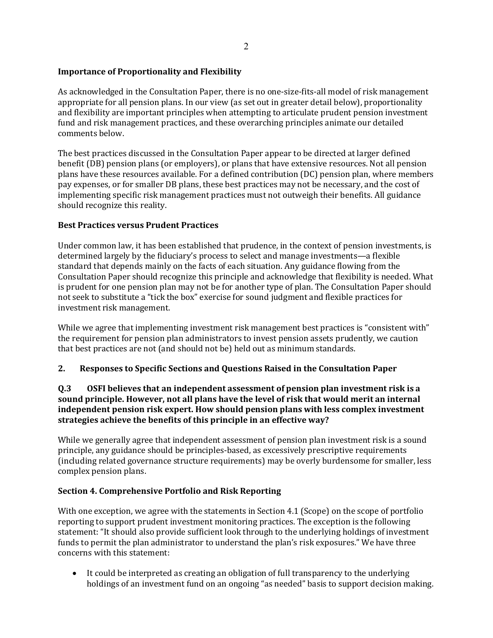### **Importance of Proportionality and Flexibility**

As acknowledged in the Consultation Paper, there is no one-size-fits-all model of risk management appropriate for all pension plans. In our view (as set out in greater detail below), proportionality and flexibility are important principles when attempting to articulate prudent pension investment fund and risk management practices, and these overarching principles animate our detailed comments below.

The best practices discussed in the Consultation Paper appear to be directed at larger defined benefit (DB) pension plans (or employers), or plans that have extensive resources. Not all pension plans have these resources available. For a defined contribution (DC) pension plan, where members pay expenses, or for smaller DB plans, these best practices may not be necessary, and the cost of implementing specific risk management practices must not outweigh their benefits. All guidance should recognize this reality.

#### **Best Practices versus Prudent Practices**

Under common law, it has been established that prudence, in the context of pension investments, is determined largely by the fiduciary's process to select and manage investments—a flexible standard that depends mainly on the facts of each situation. Any guidance flowing from the Consultation Paper should recognize this principle and acknowledge that flexibility is needed. What is prudent for one pension plan may not be for another type of plan. The Consultation Paper should not seek to substitute a "tick the box" exercise for sound judgment and flexible practices for investment risk management.

While we agree that implementing investment risk management best practices is "consistent with" the requirement for pension plan administrators to invest pension assets prudently, we caution that best practices are not (and should not be) held out as minimum standards.

### **2. Responses to Specific Sections and Questions Raised in the Consultation Paper**

#### **Q.3 OSFI believes that an independent assessment of pension plan investment risk is a sound principle. However, not all plans have the level of risk that would merit an internal independent pension risk expert. How should pension plans with less complex investment strategies achieve the benefits of this principle in an effective way?**

While we generally agree that independent assessment of pension plan investment risk is a sound principle, any guidance should be principles-based, as excessively prescriptive requirements (including related governance structure requirements) may be overly burdensome for smaller, less complex pension plans.

#### **Section 4. Comprehensive Portfolio and Risk Reporting**

With one exception, we agree with the statements in Section 4.1 (Scope) on the scope of portfolio reporting to support prudent investment monitoring practices. The exception is the following statement: "It should also provide sufficient look through to the underlying holdings of investment funds to permit the plan administrator to understand the plan's risk exposures." We have three concerns with this statement:

• It could be interpreted as creating an obligation of full transparency to the underlying holdings of an investment fund on an ongoing "as needed" basis to support decision making.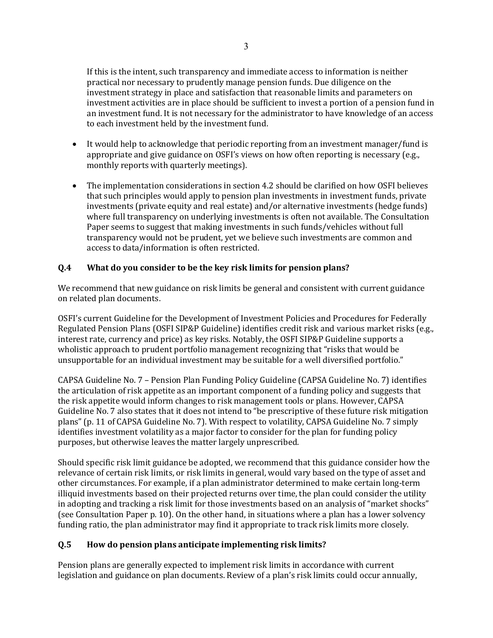If this is the intent, such transparency and immediate access to information is neither practical nor necessary to prudently manage pension funds. Due diligence on the investment strategy in place and satisfaction that reasonable limits and parameters on investment activities are in place should be sufficient to invest a portion of a pension fund in an investment fund. It is not necessary for the administrator to have knowledge of an access to each investment held by the investment fund.

- It would help to acknowledge that periodic reporting from an investment manager/fund is appropriate and give guidance on OSFI's views on how often reporting is necessary (e.g., monthly reports with quarterly meetings).
- The implementation considerations in section 4.2 should be clarified on how OSFI believes that such principles would apply to pension plan investments in investment funds, private investments (private equity and real estate) and/or alternative investments (hedge funds) where full transparency on underlying investments is often not available. The Consultation Paper seems to suggest that making investments in such funds/vehicles without full transparency would not be prudent, yet we believe such investments are common and access to data/information is often restricted.

# **Q.4 What do you consider to be the key risk limits for pension plans?**

We recommend that new guidance on risk limits be general and consistent with current guidance on related plan documents.

OSFI's current Guideline for the Development of Investment Policies and Procedures for Federally Regulated Pension Plans (OSFI SIP&P Guideline) identifies credit risk and various market risks (e.g., interest rate, currency and price) as key risks. Notably, the OSFI SIP&P Guideline supports a wholistic approach to prudent portfolio management recognizing that "risks that would be unsupportable for an individual investment may be suitable for a well diversified portfolio."

CAPSA Guideline No. 7 – Pension Plan Funding Policy Guideline (CAPSA Guideline No. 7) identifies the articulation of risk appetite as an important component of a funding policy and suggests that the risk appetite would inform changes to risk management tools or plans. However, CAPSA Guideline No. 7 also states that it does not intend to "be prescriptive of these future risk mitigation plans" (p. 11 of CAPSA Guideline No. 7). With respect to volatility, CAPSA Guideline No. 7 simply identifies investment volatility as a major factor to consider for the plan for funding policy purposes, but otherwise leaves the matter largely unprescribed.

Should specific risk limit guidance be adopted, we recommend that this guidance consider how the relevance of certain risk limits, or risk limits in general, would vary based on the type of asset and other circumstances. For example, if a plan administrator determined to make certain long-term illiquid investments based on their projected returns over time, the plan could consider the utility in adopting and tracking a risk limit for those investments based on an analysis of "market shocks" (see Consultation Paper p. 10). On the other hand, in situations where a plan has a lower solvency funding ratio, the plan administrator may find it appropriate to track risk limits more closely.

# **Q.5 How do pension plans anticipate implementing risk limits?**

Pension plans are generally expected to implement risk limits in accordance with current legislation and guidance on plan documents. Review of a plan's risk limits could occur annually,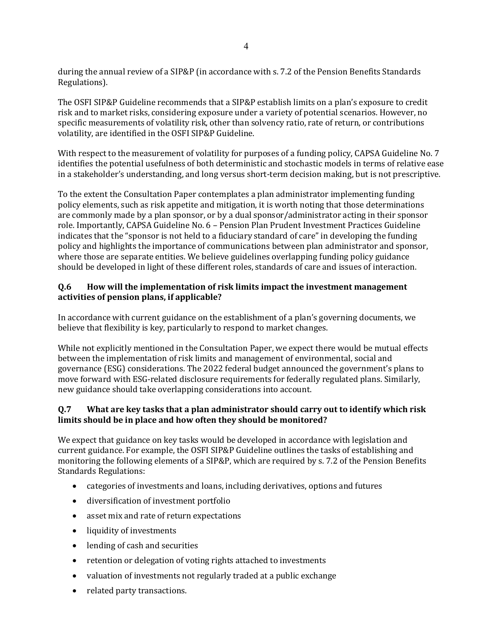during the annual review of a SIP&P (in accordance with s. 7.2 of the Pension Benefits Standards Regulations).

The OSFI SIP&P Guideline recommends that a SIP&P establish limits on a plan's exposure to credit risk and to market risks, considering exposure under a variety of potential scenarios. However, no specific measurements of volatility risk, other than solvency ratio, rate of return, or contributions volatility, are identified in the OSFI SIP&P Guideline.

With respect to the measurement of volatility for purposes of a funding policy, CAPSA Guideline No. 7 identifies the potential usefulness of both deterministic and stochastic models in terms of relative ease in a stakeholder's understanding, and long versus short-term decision making, but is not prescriptive.

To the extent the Consultation Paper contemplates a plan administrator implementing funding policy elements, such as risk appetite and mitigation, it is worth noting that those determinations are commonly made by a plan sponsor, or by a dual sponsor/administrator acting in their sponsor role. Importantly, CAPSA Guideline No. 6 – Pension Plan Prudent Investment Practices Guideline indicates that the "sponsor is not held to a fiduciary standard of care" in developing the funding policy and highlights the importance of communications between plan administrator and sponsor, where those are separate entities. We believe guidelines overlapping funding policy guidance should be developed in light of these different roles, standards of care and issues of interaction.

### **Q.6 How will the implementation of risk limits impact the investment management activities of pension plans, if applicable?**

In accordance with current guidance on the establishment of a plan's governing documents, we believe that flexibility is key, particularly to respond to market changes.

While not explicitly mentioned in the Consultation Paper, we expect there would be mutual effects between the implementation of risk limits and management of environmental, social and governance (ESG) considerations. The 2022 federal budget announced the government's plans to move forward with ESG-related disclosure requirements for federally regulated plans. Similarly, new guidance should take overlapping considerations into account.

### **Q.7 What are key tasks that a plan administrator should carry out to identify which risk limits should be in place and how often they should be monitored?**

We expect that guidance on key tasks would be developed in accordance with legislation and current guidance. For example, the OSFI SIP&P Guideline outlines the tasks of establishing and monitoring the following elements of a SIP&P, which are required by s. 7.2 of the Pension Benefits Standards Regulations:

- categories of investments and loans, including derivatives, options and futures
- diversification of investment portfolio
- asset mix and rate of return expectations
- liquidity of investments
- lending of cash and securities
- retention or delegation of voting rights attached to investments
- valuation of investments not regularly traded at a public exchange
- related party transactions.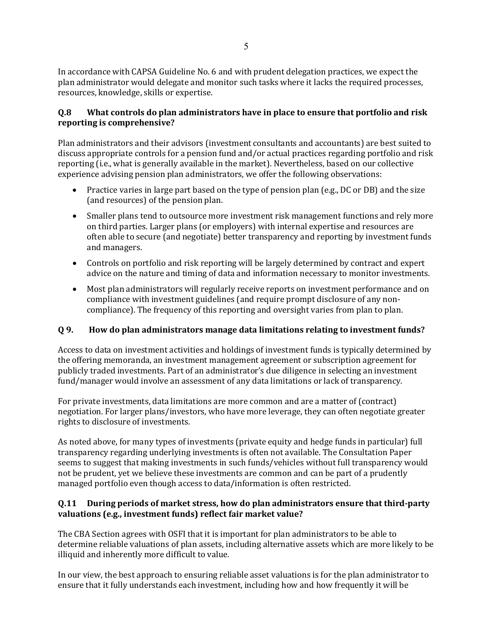In accordance with CAPSA Guideline No. 6 and with prudent delegation practices, we expect the plan administrator would delegate and monitor such tasks where it lacks the required processes, resources, knowledge, skills or expertise.

### **Q.8 What controls do plan administrators have in place to ensure that portfolio and risk reporting is comprehensive?**

Plan administrators and their advisors (investment consultants and accountants) are best suited to discuss appropriate controls for a pension fund and/or actual practices regarding portfolio and risk reporting (i.e., what is generally available in the market). Nevertheless, based on our collective experience advising pension plan administrators, we offer the following observations:

- Practice varies in large part based on the type of pension plan (e.g., DC or DB) and the size (and resources) of the pension plan.
- Smaller plans tend to outsource more investment risk management functions and rely more on third parties. Larger plans (or employers) with internal expertise and resources are often able to secure (and negotiate) better transparency and reporting by investment funds and managers.
- Controls on portfolio and risk reporting will be largely determined by contract and expert advice on the nature and timing of data and information necessary to monitor investments.
- Most plan administrators will regularly receive reports on investment performance and on compliance with investment guidelines (and require prompt disclosure of any noncompliance). The frequency of this reporting and oversight varies from plan to plan.

### **Q 9. How do plan administrators manage data limitations relating to investment funds?**

Access to data on investment activities and holdings of investment funds is typically determined by the offering memoranda, an investment management agreement or subscription agreement for publicly traded investments. Part of an administrator's due diligence in selecting an investment fund/manager would involve an assessment of any data limitations or lack of transparency.

For private investments, data limitations are more common and are a matter of (contract) negotiation. For larger plans/investors, who have more leverage, they can often negotiate greater rights to disclosure of investments.

As noted above, for many types of investments (private equity and hedge funds in particular) full transparency regarding underlying investments is often not available. The Consultation Paper seems to suggest that making investments in such funds/vehicles without full transparency would not be prudent, yet we believe these investments are common and can be part of a prudently managed portfolio even though access to data/information is often restricted.

#### **Q.11 During periods of market stress, how do plan administrators ensure that third-party valuations (e.g., investment funds) reflect fair market value?**

The CBA Section agrees with OSFI that it is important for plan administrators to be able to determine reliable valuations of plan assets, including alternative assets which are more likely to be illiquid and inherently more difficult to value.

In our view, the best approach to ensuring reliable asset valuations is for the plan administrator to ensure that it fully understands each investment, including how and how frequently it will be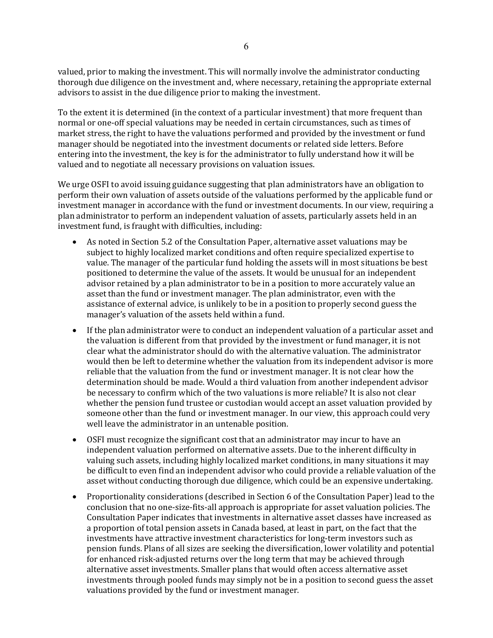valued, prior to making the investment. This will normally involve the administrator conducting thorough due diligence on the investment and, where necessary, retaining the appropriate external advisors to assist in the due diligence prior to making the investment.

To the extent it is determined (in the context of a particular investment) that more frequent than normal or one-off special valuations may be needed in certain circumstances, such as times of market stress, the right to have the valuations performed and provided by the investment or fund manager should be negotiated into the investment documents or related side letters. Before entering into the investment, the key is for the administrator to fully understand how it will be valued and to negotiate all necessary provisions on valuation issues.

We urge OSFI to avoid issuing guidance suggesting that plan administrators have an obligation to perform their own valuation of assets outside of the valuations performed by the applicable fund or investment manager in accordance with the fund or investment documents. In our view, requiring a plan administrator to perform an independent valuation of assets, particularly assets held in an investment fund, is fraught with difficulties, including:

- As noted in Section 5.2 of the Consultation Paper, alternative asset valuations may be subject to highly localized market conditions and often require specialized expertise to value. The manager of the particular fund holding the assets will in most situations be best positioned to determine the value of the assets. It would be unusual for an independent advisor retained by a plan administrator to be in a position to more accurately value an asset than the fund or investment manager. The plan administrator, even with the assistance of external advice, is unlikely to be in a position to properly second guess the manager's valuation of the assets held within a fund.
- If the plan administrator were to conduct an independent valuation of a particular asset and the valuation is different from that provided by the investment or fund manager, it is not clear what the administrator should do with the alternative valuation. The administrator would then be left to determine whether the valuation from its independent advisor is more reliable that the valuation from the fund or investment manager. It is not clear how the determination should be made. Would a third valuation from another independent advisor be necessary to confirm which of the two valuations is more reliable? It is also not clear whether the pension fund trustee or custodian would accept an asset valuation provided by someone other than the fund or investment manager. In our view, this approach could very well leave the administrator in an untenable position.
- OSFI must recognize the significant cost that an administrator may incur to have an independent valuation performed on alternative assets. Due to the inherent difficulty in valuing such assets, including highly localized market conditions, in many situations it may be difficult to even find an independent advisor who could provide a reliable valuation of the asset without conducting thorough due diligence, which could be an expensive undertaking.
- Proportionality considerations (described in Section 6 of the Consultation Paper) lead to the conclusion that no one-size-fits-all approach is appropriate for asset valuation policies. The Consultation Paper indicates that investments in alternative asset classes have increased as a proportion of total pension assets in Canada based, at least in part, on the fact that the investments have attractive investment characteristics for long-term investors such as pension funds. Plans of all sizes are seeking the diversification, lower volatility and potential for enhanced risk-adjusted returns over the long term that may be achieved through alternative asset investments. Smaller plans that would often access alternative asset investments through pooled funds may simply not be in a position to second guess the asset valuations provided by the fund or investment manager.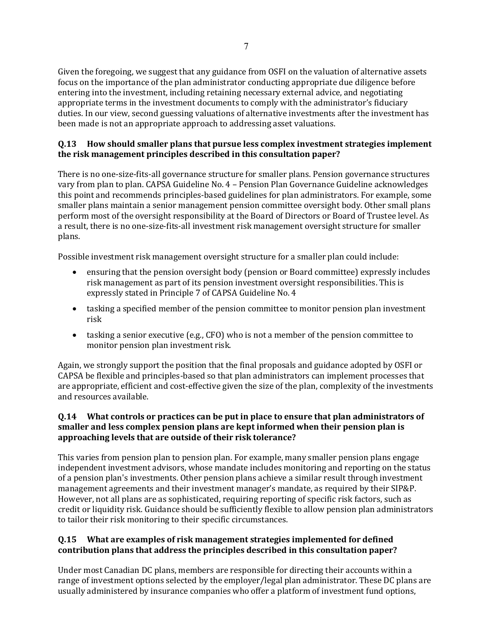Given the foregoing, we suggest that any guidance from OSFI on the valuation of alternative assets focus on the importance of the plan administrator conducting appropriate due diligence before entering into the investment, including retaining necessary external advice, and negotiating appropriate terms in the investment documents to comply with the administrator's fiduciary duties. In our view, second guessing valuations of alternative investments after the investment has been made is not an appropriate approach to addressing asset valuations.

### **Q.13 How should smaller plans that pursue less complex investment strategies implement the risk management principles described in this consultation paper?**

There is no one-size-fits-all governance structure for smaller plans. Pension governance structures vary from plan to plan. CAPSA Guideline No. 4 – Pension Plan Governance Guideline acknowledges this point and recommends principles-based guidelines for plan administrators. For example, some smaller plans maintain a senior management pension committee oversight body. Other small plans perform most of the oversight responsibility at the Board of Directors or Board of Trustee level. As a result, there is no one-size-fits-all investment risk management oversight structure for smaller plans.

Possible investment risk management oversight structure for a smaller plan could include:

- ensuring that the pension oversight body (pension or Board committee) expressly includes risk management as part of its pension investment oversight responsibilities. This is expressly stated in Principle 7 of CAPSA Guideline No. 4
- tasking a specified member of the pension committee to monitor pension plan investment risk
- tasking a senior executive (e.g., CFO) who is not a member of the pension committee to monitor pension plan investment risk.

Again, we strongly support the position that the final proposals and guidance adopted by OSFI or CAPSA be flexible and principles-based so that plan administrators can implement processes that are appropriate, efficient and cost-effective given the size of the plan, complexity of the investments and resources available.

# **Q.14 What controls or practices can be put in place to ensure that plan administrators of smaller and less complex pension plans are kept informed when their pension plan is approaching levels that are outside of their risk tolerance?**

This varies from pension plan to pension plan. For example, many smaller pension plans engage independent investment advisors, whose mandate includes monitoring and reporting on the status of a pension plan's investments. Other pension plans achieve a similar result through investment management agreements and their investment manager's mandate, as required by their SIP&P. However, not all plans are as sophisticated, requiring reporting of specific risk factors, such as credit or liquidity risk. Guidance should be sufficiently flexible to allow pension plan administrators to tailor their risk monitoring to their specific circumstances.

# **Q.15 What are examples of risk management strategies implemented for defined contribution plans that address the principles described in this consultation paper?**

Under most Canadian DC plans, members are responsible for directing their accounts within a range of investment options selected by the employer/legal plan administrator. These DC plans are usually administered by insurance companies who offer a platform of investment fund options,